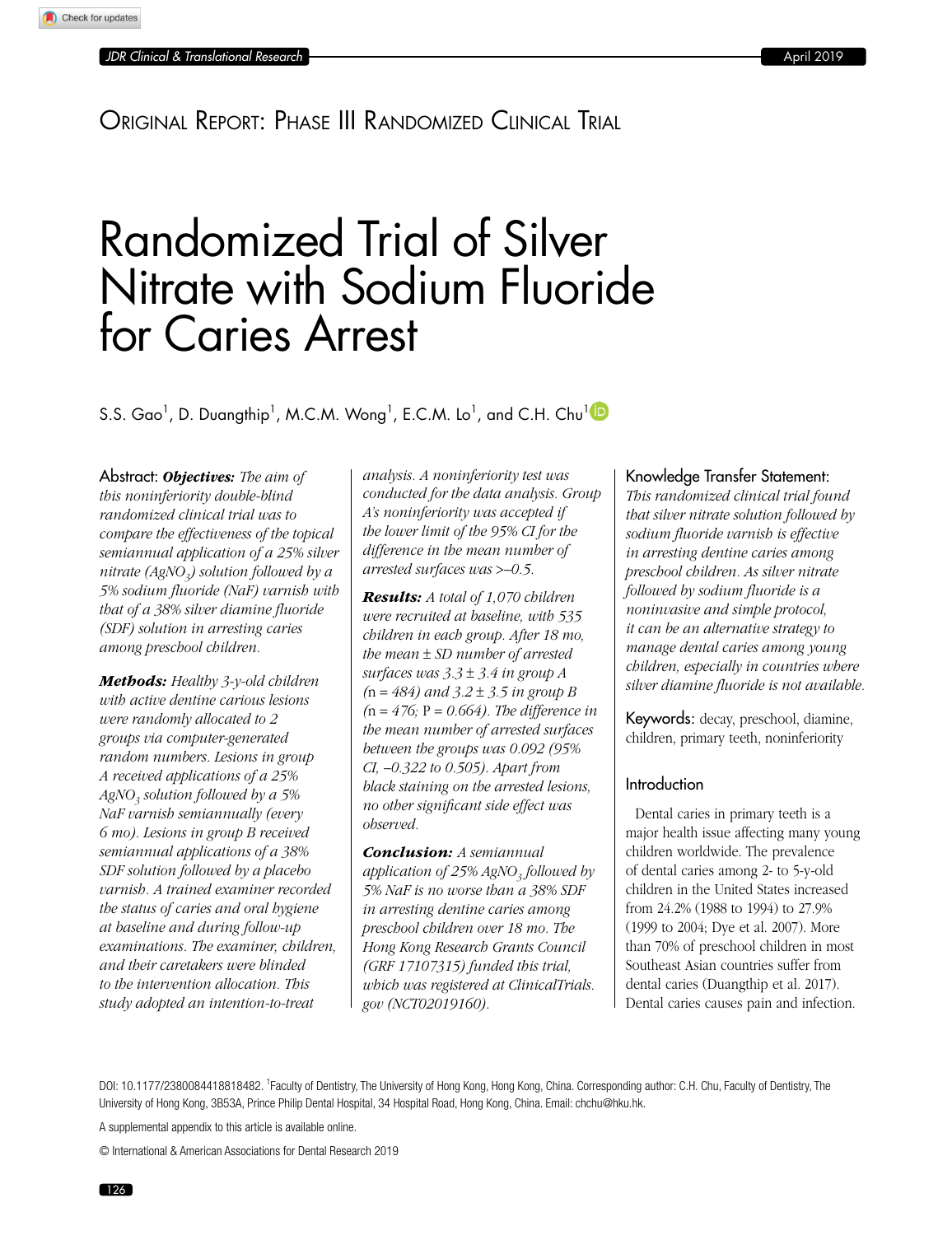# Original Report: Phase III Randomized Clinical Trial

# Randomized Trial of Silver Nitrate with Sodium Fluoride for Caries Arrest

S.S. Gao<sup>1</sup>, D. Duangthip<sup>1</sup>, M.C.M. Wong<sup>1</sup>, E.C.M. Lo<sup>1</sup>, and C.H. Chu<sup>1</sup>

Abstract: *Objectives: The aim of this noninferiority double-blind randomized clinical trial was to compare the effectiveness of the topical semiannual application of a 25% silver nitrate (AgNO3) solution followed by a 5% sodium fluoride (NaF) varnish with that of a 38% silver diamine fluoride (SDF) solution in arresting caries among preschool children.*

*Methods: Healthy 3-y-old children with active dentine carious lesions were randomly allocated to 2 groups via computer-generated random numbers. Lesions in group A received applications of a 25% AgNO3 solution followed by a 5% NaF varnish semiannually (every 6 mo). Lesions in group B received semiannual applications of a 38% SDF solution followed by a placebo varnish. A trained examiner recorded the status of caries and oral hygiene at baseline and during follow-up examinations. The examiner, children, and their caretakers were blinded to the intervention allocation. This study adopted an intention-to-treat* 

*analysis. A noninferiority test was conducted for the data analysis. Group A's noninferiority was accepted if the lower limit of the 95% CI for the difference in the mean number of arrested surfaces was* >*–0.5.*

*Results: A total of 1,070 children were recruited at baseline, with 535 children in each group. After 18 mo, the mean* ± *SD number of arrested surfaces was 3.3* ± *3.4 in group A (*n = *484) and 3.2* ± *3.5 in group B (*n = *476;* P = *0.664). The difference in the mean number of arrested surfaces between the groups was 0.092 (95% CI, –0.322 to 0.505). Apart from black staining on the arrested lesions, no other significant side effect was observed.*

*Conclusion: A semiannual application of 25% AgNO<sub>2</sub> followed by 5% NaF is no worse than a 38% SDF in arresting dentine caries among preschool children over 18 mo. The Hong Kong Research Grants Council (GRF 17107315) funded this trial, which was registered at ClinicalTrials. gov (NCT02019160).*

#### Knowledge Transfer Statement:

*This randomized clinical trial found that silver nitrate solution followed by sodium fluoride varnish is effective in arresting dentine caries among preschool children. As silver nitrate followed by sodium fluoride is a noninvasive and simple protocol, it can be an alternative strategy to manage dental caries among young children, especially in countries where silver diamine fluoride is not available.*

Keywords: decay, preschool, diamine, children, primary teeth, noninferiority

#### Introduction

Dental caries in primary teeth is a major health issue affecting many young children worldwide. The prevalence of dental caries among 2- to 5-y-old children in the United States increased from 24.2% (1988 to 1994) to 27.9% (1999 to 2004; Dye et al. 2007). More than 70% of preschool children in most Southeast Asian countries suffer from dental caries (Duangthip et al. 2017). Dental caries causes pain and infection.

DOI: [10.1177/2380084418818482](https://doi.org/10.1177/2380084418818482). <sup>1</sup>Faculty of Dentistry, The University of Hong Kong, Hong Kong, China. Corresponding author: C.H. Chu, Faculty of Dentistry, The University of Hong Kong, 3B53A, Prince Philip Dental Hospital, 34 Hospital Road, Hong Kong, China. Email: chchu@hku.hk.

A supplemental appendix to this article is available online.

© International & American Associations for Dental Research 2019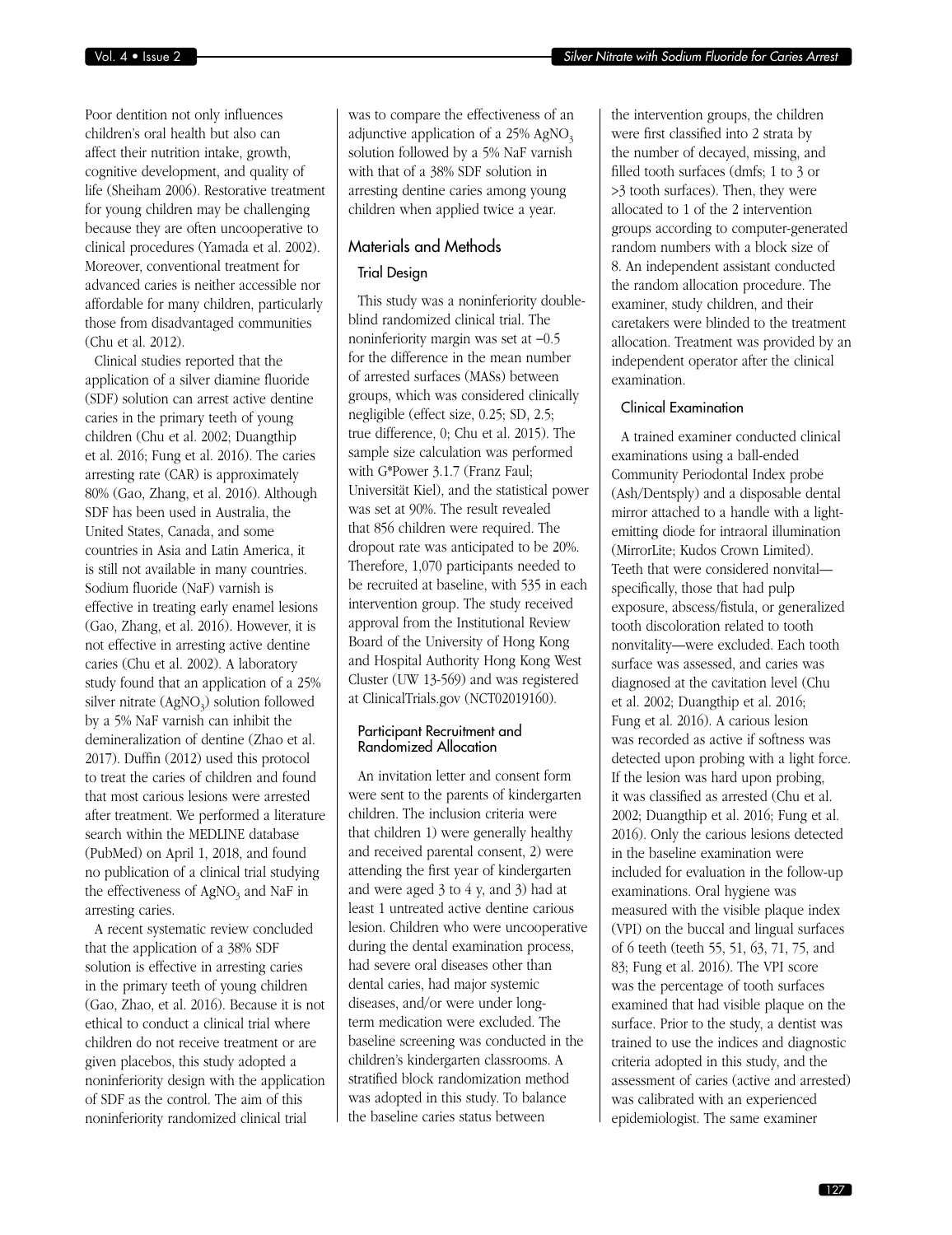Poor dentition not only influences children's oral health but also can affect their nutrition intake, growth, cognitive development, and quality of life (Sheiham 2006). Restorative treatment for young children may be challenging because they are often uncooperative to clinical procedures (Yamada et al. 2002). Moreover, conventional treatment for advanced caries is neither accessible nor affordable for many children, particularly those from disadvantaged communities (Chu et al. 2012).

Clinical studies reported that the application of a silver diamine fluoride (SDF) solution can arrest active dentine caries in the primary teeth of young children (Chu et al. 2002; Duangthip et al. 2016; Fung et al. 2016). The caries arresting rate (CAR) is approximately 80% (Gao, Zhang, et al. 2016). Although SDF has been used in Australia, the United States, Canada, and some countries in Asia and Latin America, it is still not available in many countries. Sodium fluoride (NaF) varnish is effective in treating early enamel lesions (Gao, Zhang, et al. 2016). However, it is not effective in arresting active dentine caries (Chu et al. 2002). A laboratory study found that an application of a 25% silver nitrate  $(AgNO<sub>3</sub>)$  solution followed by a 5% NaF varnish can inhibit the demineralization of dentine (Zhao et al. 2017). Duffin (2012) used this protocol to treat the caries of children and found that most carious lesions were arrested after treatment. We performed a literature search within the MEDLINE database (PubMed) on April 1, 2018, and found no publication of a clinical trial studying the effectiveness of  $AgNO<sub>3</sub>$  and NaF in arresting caries.

A recent systematic review concluded that the application of a 38% SDF solution is effective in arresting caries in the primary teeth of young children (Gao, Zhao, et al. 2016). Because it is not ethical to conduct a clinical trial where children do not receive treatment or are given placebos, this study adopted a noninferiority design with the application of SDF as the control. The aim of this noninferiority randomized clinical trial

was to compare the effectiveness of an adjunctive application of a  $25\%$  AgNO<sub>3</sub> solution followed by a 5% NaF varnish with that of a 38% SDF solution in arresting dentine caries among young children when applied twice a year.

# Materials and Methods

#### Trial Design

This study was a noninferiority doubleblind randomized clinical trial. The noninferiority margin was set at −0.5 for the difference in the mean number of arrested surfaces (MASs) between groups, which was considered clinically negligible (effect size, 0.25; SD, 2.5; true difference, 0; Chu et al. 2015). The sample size calculation was performed with G\*Power 3.1.7 (Franz Faul; Universität Kiel), and the statistical power was set at 90%. The result revealed that 856 children were required. The dropout rate was anticipated to be 20%. Therefore, 1,070 participants needed to be recruited at baseline, with 535 in each intervention group. The study received approval from the Institutional Review Board of the University of Hong Kong and Hospital Authority Hong Kong West Cluster (UW 13-569) and was registered at ClinicalTrials.gov (NCT02019160).

#### Participant Recruitment and Randomized Allocation

An invitation letter and consent form were sent to the parents of kindergarten children. The inclusion criteria were that children 1) were generally healthy and received parental consent, 2) were attending the first year of kindergarten and were aged 3 to 4 y, and 3) had at least 1 untreated active dentine carious lesion. Children who were uncooperative during the dental examination process, had severe oral diseases other than dental caries, had major systemic diseases, and/or were under longterm medication were excluded. The baseline screening was conducted in the children's kindergarten classrooms. A stratified block randomization method was adopted in this study. To balance the baseline caries status between

the intervention groups, the children were first classified into 2 strata by the number of decayed, missing, and filled tooth surfaces (dmfs; 1 to 3 or >3 tooth surfaces). Then, they were allocated to 1 of the 2 intervention groups according to computer-generated random numbers with a block size of 8. An independent assistant conducted the random allocation procedure. The examiner, study children, and their caretakers were blinded to the treatment allocation. Treatment was provided by an independent operator after the clinical examination.

#### Clinical Examination

A trained examiner conducted clinical examinations using a ball-ended Community Periodontal Index probe (Ash/Dentsply) and a disposable dental mirror attached to a handle with a lightemitting diode for intraoral illumination (MirrorLite; Kudos Crown Limited). Teeth that were considered nonvital specifically, those that had pulp exposure, abscess/fistula, or generalized tooth discoloration related to tooth nonvitality—were excluded. Each tooth surface was assessed, and caries was diagnosed at the cavitation level (Chu et al. 2002; Duangthip et al. 2016; Fung et al. 2016). A carious lesion was recorded as active if softness was detected upon probing with a light force. If the lesion was hard upon probing, it was classified as arrested (Chu et al. 2002; Duangthip et al. 2016; Fung et al. 2016). Only the carious lesions detected in the baseline examination were included for evaluation in the follow-up examinations. Oral hygiene was measured with the visible plaque index (VPI) on the buccal and lingual surfaces of 6 teeth (teeth 55, 51, 63, 71, 75, and 83; Fung et al. 2016). The VPI score was the percentage of tooth surfaces examined that had visible plaque on the surface. Prior to the study, a dentist was trained to use the indices and diagnostic criteria adopted in this study, and the assessment of caries (active and arrested) was calibrated with an experienced epidemiologist. The same examiner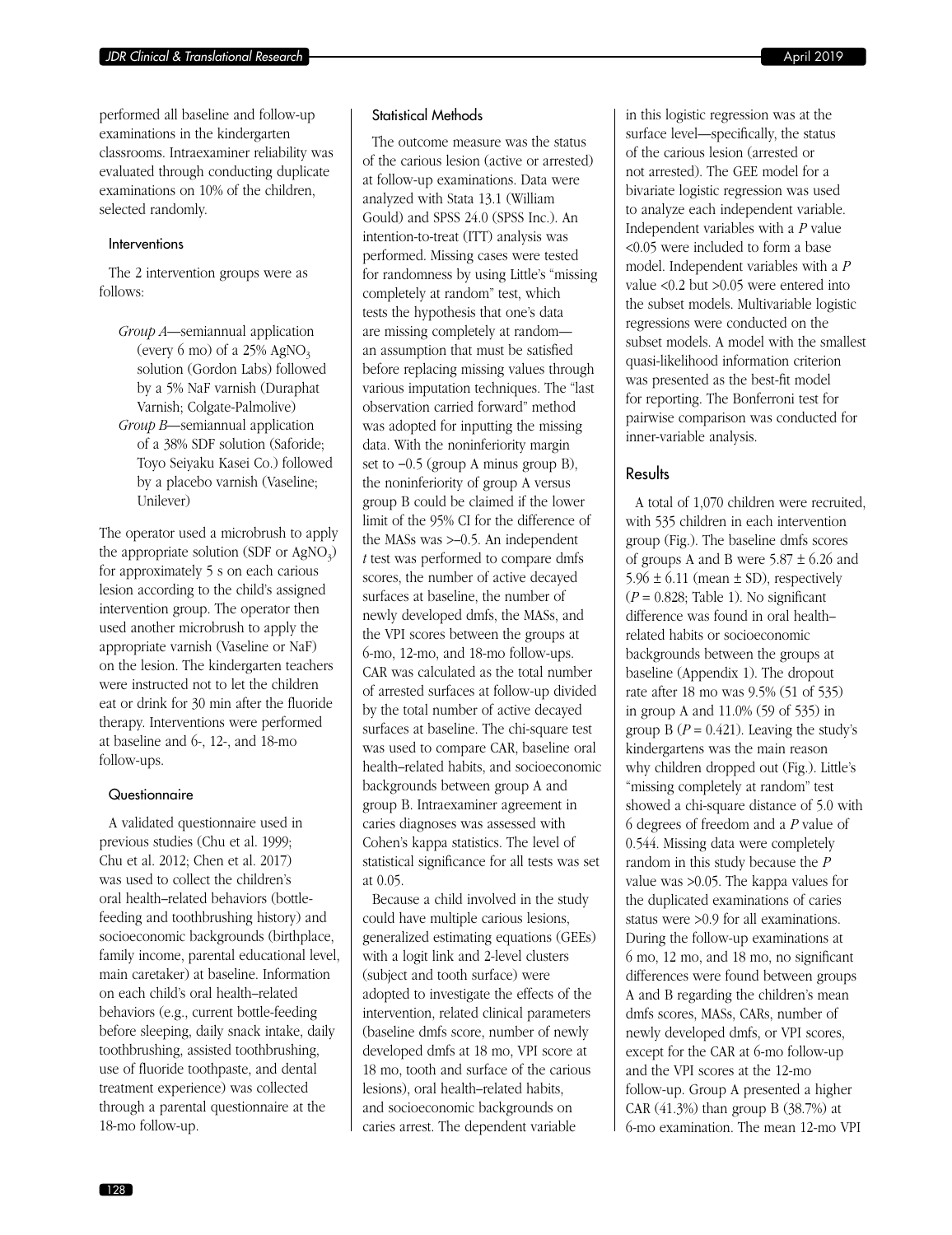#### Interventions

The 2 intervention groups were as follows:

*Group A*—semiannual application (every 6 mo) of a  $25\%$  AgNO<sub>3</sub> solution (Gordon Labs) followed by a 5% NaF varnish (Duraphat Varnish; Colgate-Palmolive) *Group B*—semiannual application of a 38% SDF solution (Saforide; Toyo Seiyaku Kasei Co.) followed by a placebo varnish (Vaseline; Unilever)

The operator used a microbrush to apply the appropriate solution (SDF or  $AgNO<sub>3</sub>$ ) for approximately 5 s on each carious lesion according to the child's assigned intervention group. The operator then used another microbrush to apply the appropriate varnish (Vaseline or NaF) on the lesion. The kindergarten teachers were instructed not to let the children eat or drink for 30 min after the fluoride therapy. Interventions were performed at baseline and 6-, 12-, and 18-mo follow-ups.

#### **Questionnaire**

A validated questionnaire used in previous studies (Chu et al. 1999; Chu et al. 2012; Chen et al. 2017) was used to collect the children's oral health–related behaviors (bottlefeeding and toothbrushing history) and socioeconomic backgrounds (birthplace, family income, parental educational level, main caretaker) at baseline. Information on each child's oral health–related behaviors (e.g., current bottle-feeding before sleeping, daily snack intake, daily toothbrushing, assisted toothbrushing, use of fluoride toothpaste, and dental treatment experience) was collected through a parental questionnaire at the 18-mo follow-up.

#### Statistical Methods

The outcome measure was the status of the carious lesion (active or arrested) at follow-up examinations. Data were analyzed with Stata 13.1 (William Gould) and SPSS 24.0 (SPSS Inc.). An intention-to-treat (ITT) analysis was performed. Missing cases were tested for randomness by using Little's "missing completely at random" test, which tests the hypothesis that one's data are missing completely at random an assumption that must be satisfied before replacing missing values through various imputation techniques. The "last observation carried forward" method was adopted for inputting the missing data. With the noninferiority margin set to −0.5 (group A minus group B), the noninferiority of group A versus group B could be claimed if the lower limit of the 95% CI for the difference of the MASs was >–0.5. An independent *t* test was performed to compare dmfs scores, the number of active decayed surfaces at baseline, the number of newly developed dmfs, the MASs, and the VPI scores between the groups at 6-mo, 12-mo, and 18-mo follow-ups. CAR was calculated as the total number of arrested surfaces at follow-up divided by the total number of active decayed surfaces at baseline. The chi-square test was used to compare CAR, baseline oral health–related habits, and socioeconomic backgrounds between group A and group B. Intraexaminer agreement in caries diagnoses was assessed with Cohen's kappa statistics. The level of statistical significance for all tests was set at 0.05.

Because a child involved in the study could have multiple carious lesions, generalized estimating equations (GEEs) with a logit link and 2-level clusters (subject and tooth surface) were adopted to investigate the effects of the intervention, related clinical parameters (baseline dmfs score, number of newly developed dmfs at 18 mo, VPI score at 18 mo, tooth and surface of the carious lesions), oral health–related habits, and socioeconomic backgrounds on caries arrest. The dependent variable

in this logistic regression was at the surface level—specifically, the status of the carious lesion (arrested or not arrested). The GEE model for a bivariate logistic regression was used to analyze each independent variable. Independent variables with a *P* value <0.05 were included to form a base model. Independent variables with a *P* value <0.2 but >0.05 were entered into the subset models. Multivariable logistic regressions were conducted on the subset models. A model with the smallest quasi-likelihood information criterion was presented as the best-fit model for reporting. The Bonferroni test for pairwise comparison was conducted for inner-variable analysis.

#### Results

A total of 1,070 children were recruited, with 535 children in each intervention group (Fig.). The baseline dmfs scores of groups A and B were  $5.87 \pm 6.26$  and  $5.96 \pm 6.11$  (mean  $\pm$  SD), respectively  $(P = 0.828$ ; Table 1). No significant difference was found in oral health– related habits or socioeconomic backgrounds between the groups at baseline (Appendix 1). The dropout rate after 18 mo was 9.5% (51 of 535) in group A and 11.0% (59 of 535) in group B  $(P = 0.421)$ . Leaving the study's kindergartens was the main reason why children dropped out (Fig.). Little's "missing completely at random" test showed a chi-square distance of 5.0 with 6 degrees of freedom and a *P* value of 0.544. Missing data were completely random in this study because the *P* value was >0.05. The kappa values for the duplicated examinations of caries status were >0.9 for all examinations. During the follow-up examinations at 6 mo, 12 mo, and 18 mo, no significant differences were found between groups A and B regarding the children's mean dmfs scores, MASs, CARs, number of newly developed dmfs, or VPI scores, except for the CAR at 6-mo follow-up and the VPI scores at the 12-mo follow-up. Group A presented a higher CAR (41.3%) than group B (38.7%) at 6-mo examination. The mean 12-mo VPI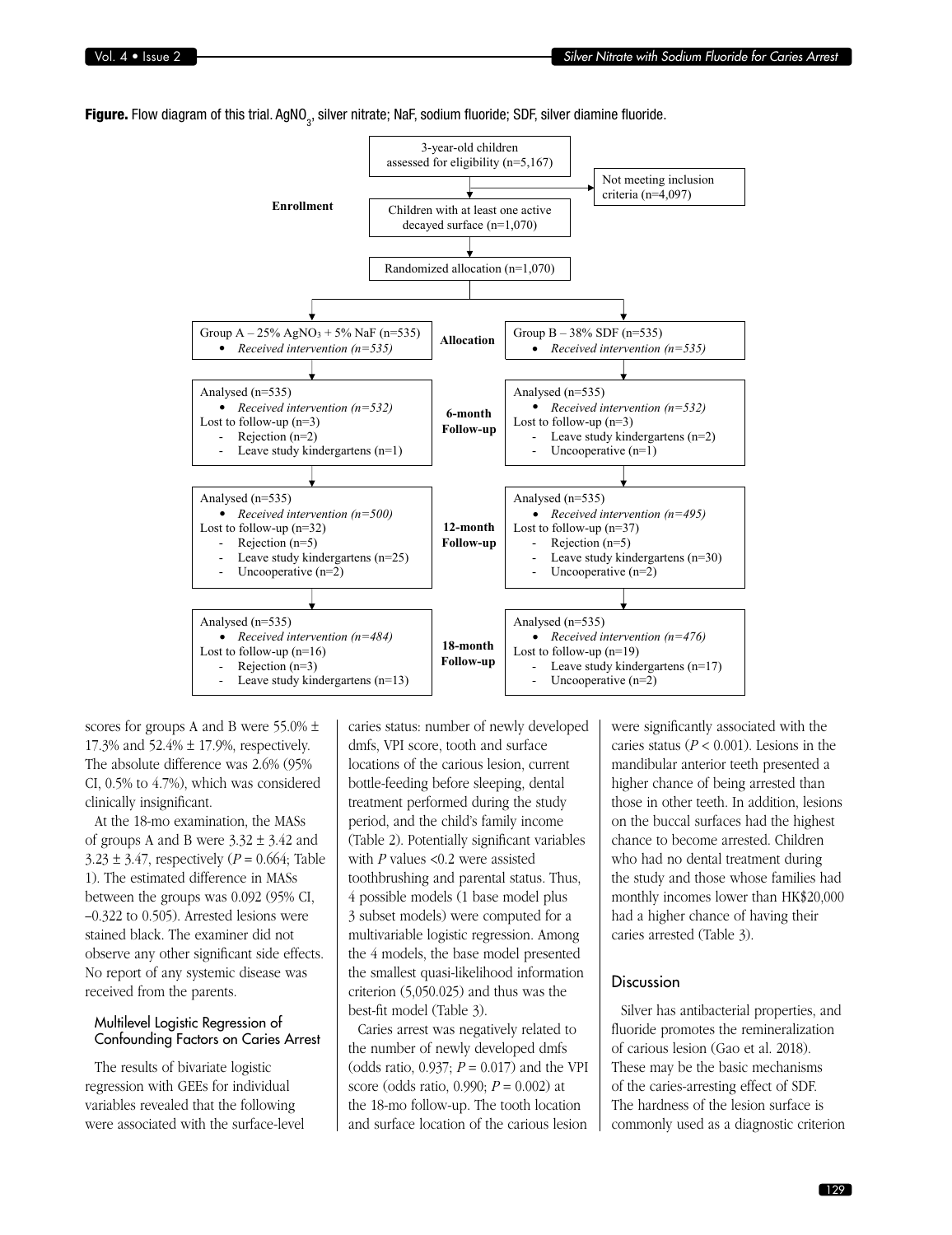**Figure.** Flow diagram of this trial. AgNO $_3$ , silver nitrate; NaF, sodium fluoride; SDF, silver diamine fluoride.



scores for groups A and B were 55.0% ± 17.3% and 52.4% ± 17.9%, respectively. The absolute difference was 2.6% (95% CI, 0.5% to 4.7%), which was considered clinically insignificant.

At the 18-mo examination, the MASs of groups A and B were  $3.32 \pm 3.42$  and  $3.23 \pm 3.47$ , respectively (*P* = 0.664; Table 1). The estimated difference in MASs between the groups was 0.092 (95% CI, –0.322 to 0.505). Arrested lesions were stained black. The examiner did not observe any other significant side effects. No report of any systemic disease was received from the parents.

#### Multilevel Logistic Regression of Confounding Factors on Caries Arrest

The results of bivariate logistic regression with GEEs for individual variables revealed that the following were associated with the surface-level

caries status: number of newly developed dmfs, VPI score, tooth and surface locations of the carious lesion, current bottle-feeding before sleeping, dental treatment performed during the study period, and the child's family income (Table 2). Potentially significant variables with *P* values <0.2 were assisted toothbrushing and parental status. Thus, 4 possible models (1 base model plus 3 subset models) were computed for a multivariable logistic regression. Among the 4 models, the base model presented the smallest quasi-likelihood information criterion (5,050.025) and thus was the best-fit model (Table 3).

Caries arrest was negatively related to the number of newly developed dmfs (odds ratio, 0.937; *P* = 0.017) and the VPI score (odds ratio, 0.990; *P* = 0.002) at the 18-mo follow-up. The tooth location and surface location of the carious lesion

were significantly associated with the caries status ( $P < 0.001$ ). Lesions in the mandibular anterior teeth presented a higher chance of being arrested than those in other teeth. In addition, lesions on the buccal surfaces had the highest chance to become arrested. Children who had no dental treatment during the study and those whose families had monthly incomes lower than HK\$20,000 had a higher chance of having their caries arrested (Table 3).

#### **Discussion**

Silver has antibacterial properties, and fluoride promotes the remineralization of carious lesion (Gao et al. 2018). These may be the basic mechanisms of the caries-arresting effect of SDF. The hardness of the lesion surface is commonly used as a diagnostic criterion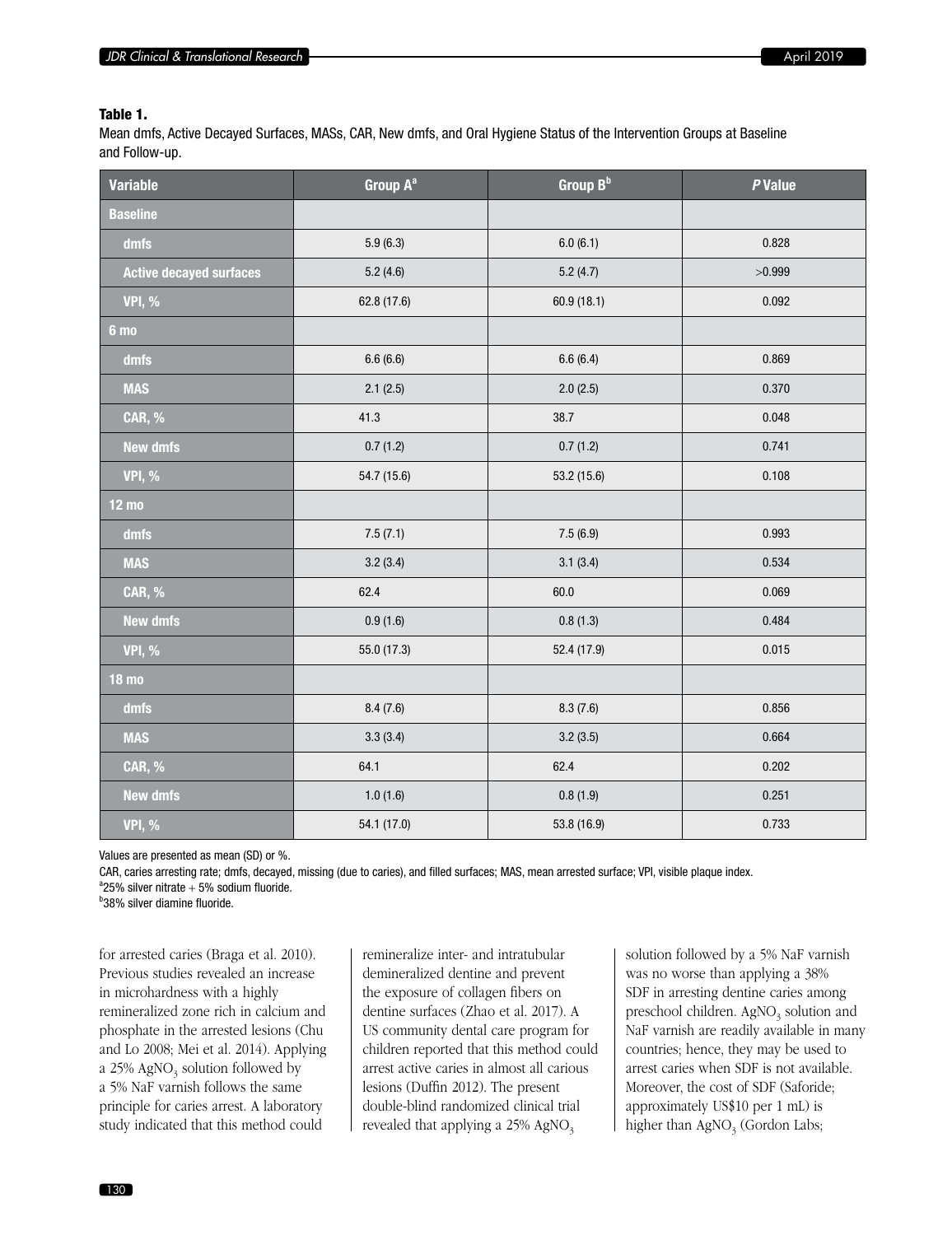#### Table 1.

Mean dmfs, Active Decayed Surfaces, MASs, CAR, New dmfs, and Oral Hygiene Status of the Intervention Groups at Baseline and Follow-up.

| <b>Variable</b>                | Group A <sup>a</sup> | Group B <sup>b</sup> | P Value |
|--------------------------------|----------------------|----------------------|---------|
| <b>Baseline</b>                |                      |                      |         |
| dmfs                           | 5.9(6.3)             | 6.0(6.1)             | 0.828   |
| <b>Active decayed surfaces</b> | 5.2(4.6)             | 5.2(4.7)             | >0.999  |
| <b>VPI, %</b>                  | 62.8 (17.6)          | 60.9(18.1)           | 0.092   |
| 6 <sub>mo</sub>                |                      |                      |         |
| dmfs                           | 6.6(6.6)             | 6.6(6.4)             | 0.869   |
| <b>MAS</b>                     | 2.1(2.5)             | 2.0(2.5)             | 0.370   |
| <b>CAR, %</b>                  | 41.3                 | 38.7                 | 0.048   |
| <b>New dmfs</b>                | 0.7(1.2)             | 0.7(1.2)             | 0.741   |
| <b>VPI, %</b>                  | 54.7 (15.6)          | 53.2 (15.6)          | 0.108   |
| <b>12 mo</b>                   |                      |                      |         |
| dmfs                           | 7.5(7.1)             | 7.5(6.9)             | 0.993   |
| <b>MAS</b>                     | 3.2(3.4)             | 3.1(3.4)             | 0.534   |
| <b>CAR, %</b>                  | 62.4                 | 60.0                 | 0.069   |
| <b>New dmfs</b>                | 0.9(1.6)             | 0.8(1.3)             | 0.484   |
| <b>VPI, %</b>                  | 55.0 (17.3)          | 52.4 (17.9)          | 0.015   |
| <b>18 mo</b>                   |                      |                      |         |
| dmfs                           | 8.4(7.6)             | 8.3(7.6)             | 0.856   |
| <b>MAS</b>                     | 3.3(3.4)             | 3.2(3.5)             | 0.664   |
| <b>CAR, %</b>                  | 64.1                 | 62.4                 | 0.202   |
| <b>New dmfs</b>                | 1.0(1.6)             | 0.8(1.9)             | 0.251   |
| <b>VPI, %</b>                  | 54.1 (17.0)          | 53.8 (16.9)          | 0.733   |

Values are presented as mean (SD) or %.

CAR, caries arresting rate; dmfs, decayed, missing (due to caries), and filled surfaces; MAS, mean arrested surface; VPI, visible plaque index.  ${}^{a}$ 25% silver nitrate + 5% sodium fluoride.

<sup>b</sup>38% silver diamine fluoride.

for arrested caries (Braga et al. 2010). Previous studies revealed an increase in microhardness with a highly remineralized zone rich in calcium and phosphate in the arrested lesions (Chu and Lo 2008; Mei et al. 2014). Applying a  $25\%$  AgNO<sub>3</sub> solution followed by a 5% NaF varnish follows the same principle for caries arrest. A laboratory study indicated that this method could

remineralize inter- and intratubular demineralized dentine and prevent the exposure of collagen fibers on dentine surfaces (Zhao et al. 2017). A US community dental care program for children reported that this method could arrest active caries in almost all carious lesions (Duffin 2012). The present double-blind randomized clinical trial revealed that applying a  $25\%$  AgNO<sub>3</sub>

solution followed by a 5% NaF varnish was no worse than applying a 38% SDF in arresting dentine caries among preschool children. AgNO<sub>3</sub> solution and NaF varnish are readily available in many countries; hence, they may be used to arrest caries when SDF is not available. Moreover, the cost of SDF (Saforide; approximately US\$10 per 1 mL) is higher than  $AgNO<sub>3</sub>$  (Gordon Labs;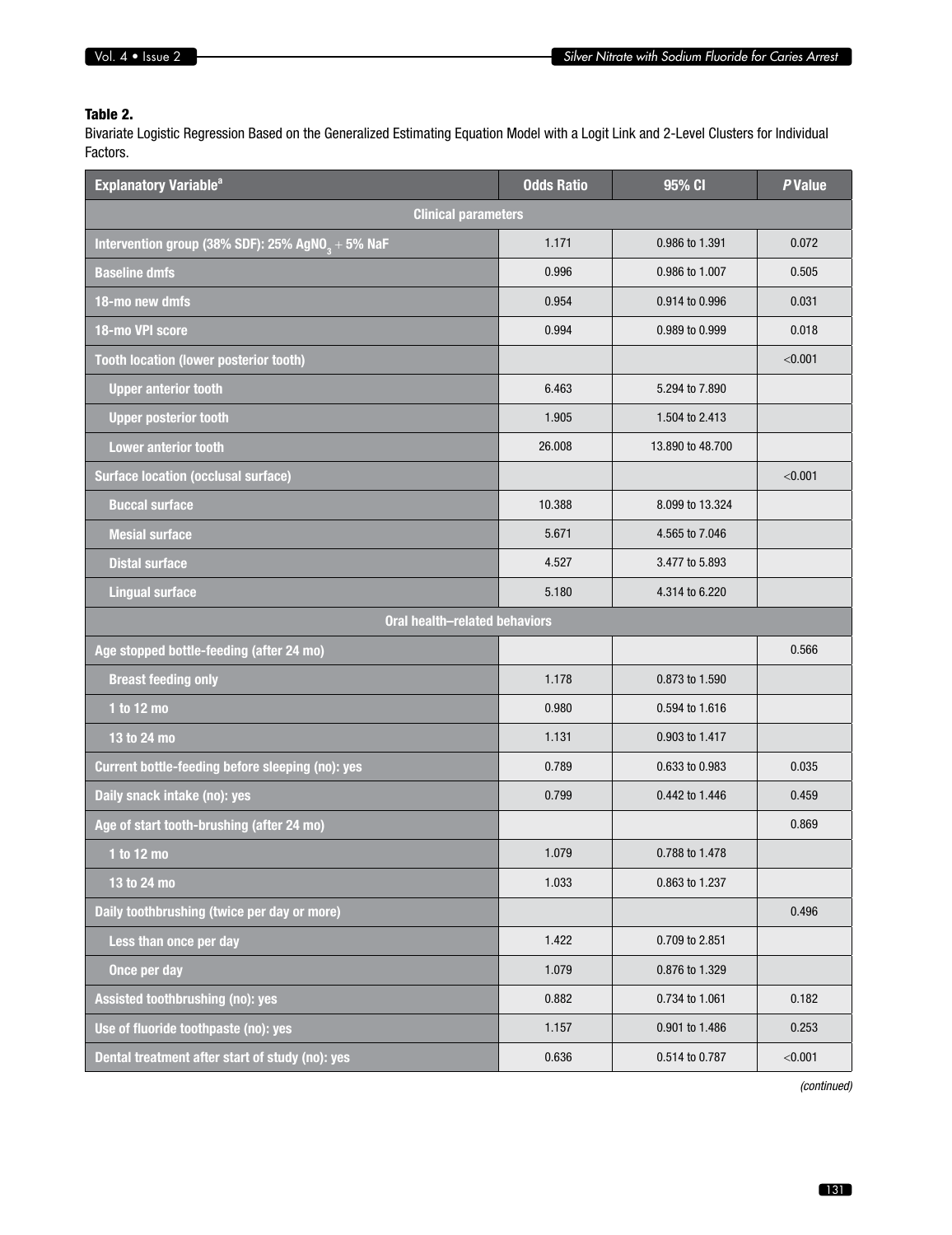# Table 2.

Bivariate Logistic Regression Based on the Generalized Estimating Equation Model with a Logit Link and 2-Level Clusters for Individual Factors.

| <b>Explanatory Variable<sup>a</sup></b>                      | <b>Odds Ratio</b> | 95% CI           | P Value |
|--------------------------------------------------------------|-------------------|------------------|---------|
| <b>Clinical parameters</b>                                   |                   |                  |         |
| Intervention group (38% SDF): 25% AgNO <sub>2</sub> + 5% NaF | 1.171             | 0.986 to 1.391   | 0.072   |
| <b>Baseline dmfs</b>                                         | 0.996             | 0.986 to 1.007   | 0.505   |
| 18-mo new dmfs                                               | 0.954             | 0.914 to 0.996   | 0.031   |
| 18-mo VPI score                                              | 0.994             | 0.989 to 0.999   | 0.018   |
| <b>Tooth location (lower posterior tooth)</b>                |                   |                  | < 0.001 |
| <b>Upper anterior tooth</b>                                  | 6.463             | 5.294 to 7.890   |         |
| <b>Upper posterior tooth</b>                                 | 1.905             | 1.504 to 2.413   |         |
| <b>Lower anterior tooth</b>                                  | 26.008            | 13.890 to 48.700 |         |
| <b>Surface location (occlusal surface)</b>                   |                   |                  | < 0.001 |
| <b>Buccal surface</b>                                        | 10.388            | 8.099 to 13.324  |         |
| <b>Mesial surface</b>                                        | 5.671             | 4.565 to 7.046   |         |
| <b>Distal surface</b>                                        | 4.527             | 3.477 to 5.893   |         |
| <b>Lingual surface</b>                                       | 5.180             | 4.314 to 6.220   |         |
| <b>Oral health-related behaviors</b>                         |                   |                  |         |
| Age stopped bottle-feeding (after 24 mo)                     |                   |                  | 0.566   |
| <b>Breast feeding only</b>                                   | 1.178             | 0.873 to 1.590   |         |
| 1 to 12 mo                                                   | 0.980             | 0.594 to 1.616   |         |
| 13 to 24 mo                                                  | 1.131             | 0.903 to 1.417   |         |
| Current bottle-feeding before sleeping (no): yes             | 0.789             | 0.633 to 0.983   | 0.035   |
| Daily snack intake (no): yes                                 | 0.799             | 0.442 to 1.446   | 0.459   |
| Age of start tooth-brushing (after 24 mo)                    |                   |                  | 0.869   |
| 1 to 12 mo                                                   | 1.079             | 0.788 to 1.478   |         |
| 13 to 24 mo                                                  | 1.033             | 0.863 to 1.237   |         |
| Daily toothbrushing (twice per day or more)                  |                   |                  | 0.496   |
| Less than once per day                                       | 1.422             | 0.709 to 2.851   |         |
| Once per day                                                 | 1.079             | 0.876 to 1.329   |         |
| Assisted toothbrushing (no): yes                             | 0.882             | 0.734 to 1.061   | 0.182   |
| Use of fluoride toothpaste (no): yes                         | 1.157             | 0.901 to 1.486   | 0.253   |
| Dental treatment after start of study (no): yes              | 0.636             | 0.514 to 0.787   | < 0.001 |

*(continued)*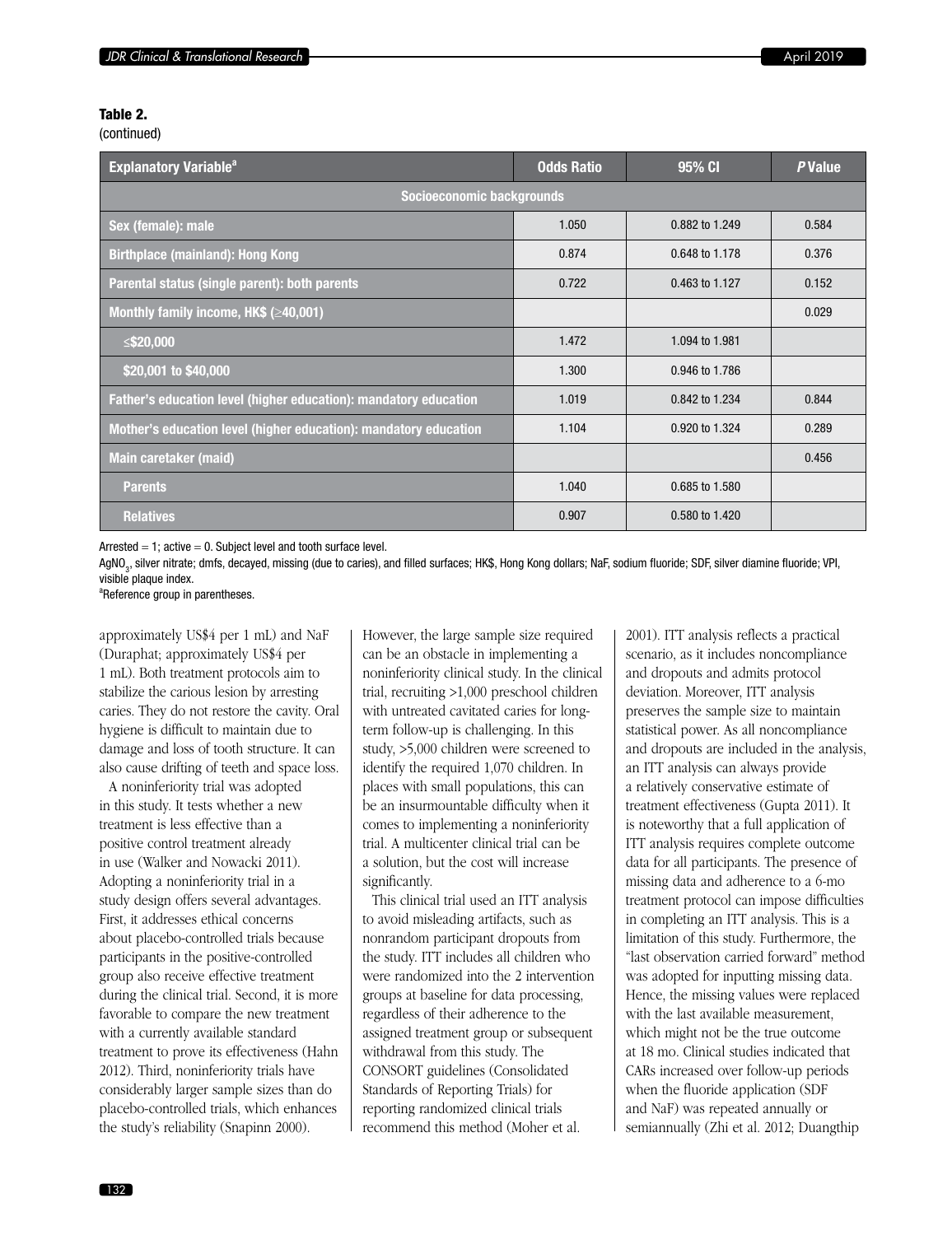#### Table 2.

(continued)

| <b>Explanatory Variable<sup>a</sup></b>                          | <b>Odds Ratio</b> | 95% CI         | P Value |  |  |  |
|------------------------------------------------------------------|-------------------|----------------|---------|--|--|--|
| Socioeconomic backgrounds                                        |                   |                |         |  |  |  |
| Sex (female): male                                               | 1.050             | 0.882 to 1.249 | 0.584   |  |  |  |
| <b>Birthplace (mainland): Hong Kong</b>                          | 0.874             | 0.648 to 1.178 | 0.376   |  |  |  |
| Parental status (single parent): both parents                    | 0.722             | 0.463 to 1.127 | 0.152   |  |  |  |
| Monthly family income, $HK$$ ( $\geq$ 40,001)                    |                   |                | 0.029   |  |  |  |
| ≤\$20,000                                                        | 1.472             | 1.094 to 1.981 |         |  |  |  |
| \$20,001 to \$40,000                                             | 1.300             | 0.946 to 1.786 |         |  |  |  |
| Father's education level (higher education): mandatory education | 1.019             | 0.842 to 1.234 | 0.844   |  |  |  |
| Mother's education level (higher education): mandatory education | 1.104             | 0.920 to 1.324 | 0.289   |  |  |  |
| Main caretaker (maid)                                            |                   |                | 0.456   |  |  |  |
| <b>Parents</b>                                                   | 1.040             | 0.685 to 1.580 |         |  |  |  |
| <b>Relatives</b>                                                 | 0.907             | 0.580 to 1.420 |         |  |  |  |

Arrested  $= 1$ ; active  $= 0$ . Subject level and tooth surface level.

AgNO<sub>3</sub>, silver nitrate; dmfs, decayed, missing (due to caries), and filled surfaces; HK\$, Hong Kong dollars; NaF, sodium fluoride; SDF, silver diamine fluoride; VPI, visible plaque index.

<sup>a</sup>Reference group in parentheses.

approximately US\$4 per 1 mL) and NaF (Duraphat; approximately US\$4 per 1 mL). Both treatment protocols aim to stabilize the carious lesion by arresting caries. They do not restore the cavity. Oral hygiene is difficult to maintain due to damage and loss of tooth structure. It can also cause drifting of teeth and space loss.

A noninferiority trial was adopted in this study. It tests whether a new treatment is less effective than a positive control treatment already in use (Walker and Nowacki 2011). Adopting a noninferiority trial in a study design offers several advantages. First, it addresses ethical concerns about placebo-controlled trials because participants in the positive-controlled group also receive effective treatment during the clinical trial. Second, it is more favorable to compare the new treatment with a currently available standard treatment to prove its effectiveness (Hahn 2012). Third, noninferiority trials have considerably larger sample sizes than do placebo-controlled trials, which enhances the study's reliability (Snapinn 2000).

However, the large sample size required can be an obstacle in implementing a noninferiority clinical study. In the clinical trial, recruiting >1,000 preschool children with untreated cavitated caries for longterm follow-up is challenging. In this study, >5,000 children were screened to identify the required 1,070 children. In places with small populations, this can be an insurmountable difficulty when it comes to implementing a noninferiority trial. A multicenter clinical trial can be a solution, but the cost will increase significantly.

This clinical trial used an ITT analysis to avoid misleading artifacts, such as nonrandom participant dropouts from the study. ITT includes all children who were randomized into the 2 intervention groups at baseline for data processing, regardless of their adherence to the assigned treatment group or subsequent withdrawal from this study. The CONSORT guidelines (Consolidated Standards of Reporting Trials) for reporting randomized clinical trials recommend this method (Moher et al.

2001). ITT analysis reflects a practical scenario, as it includes noncompliance and dropouts and admits protocol deviation. Moreover, ITT analysis preserves the sample size to maintain statistical power. As all noncompliance and dropouts are included in the analysis, an ITT analysis can always provide a relatively conservative estimate of treatment effectiveness (Gupta 2011). It is noteworthy that a full application of ITT analysis requires complete outcome data for all participants. The presence of missing data and adherence to a 6-mo treatment protocol can impose difficulties in completing an ITT analysis. This is a limitation of this study. Furthermore, the "last observation carried forward" method was adopted for inputting missing data. Hence, the missing values were replaced with the last available measurement, which might not be the true outcome at 18 mo. Clinical studies indicated that CARs increased over follow-up periods when the fluoride application (SDF and NaF) was repeated annually or semiannually (Zhi et al. 2012; Duangthip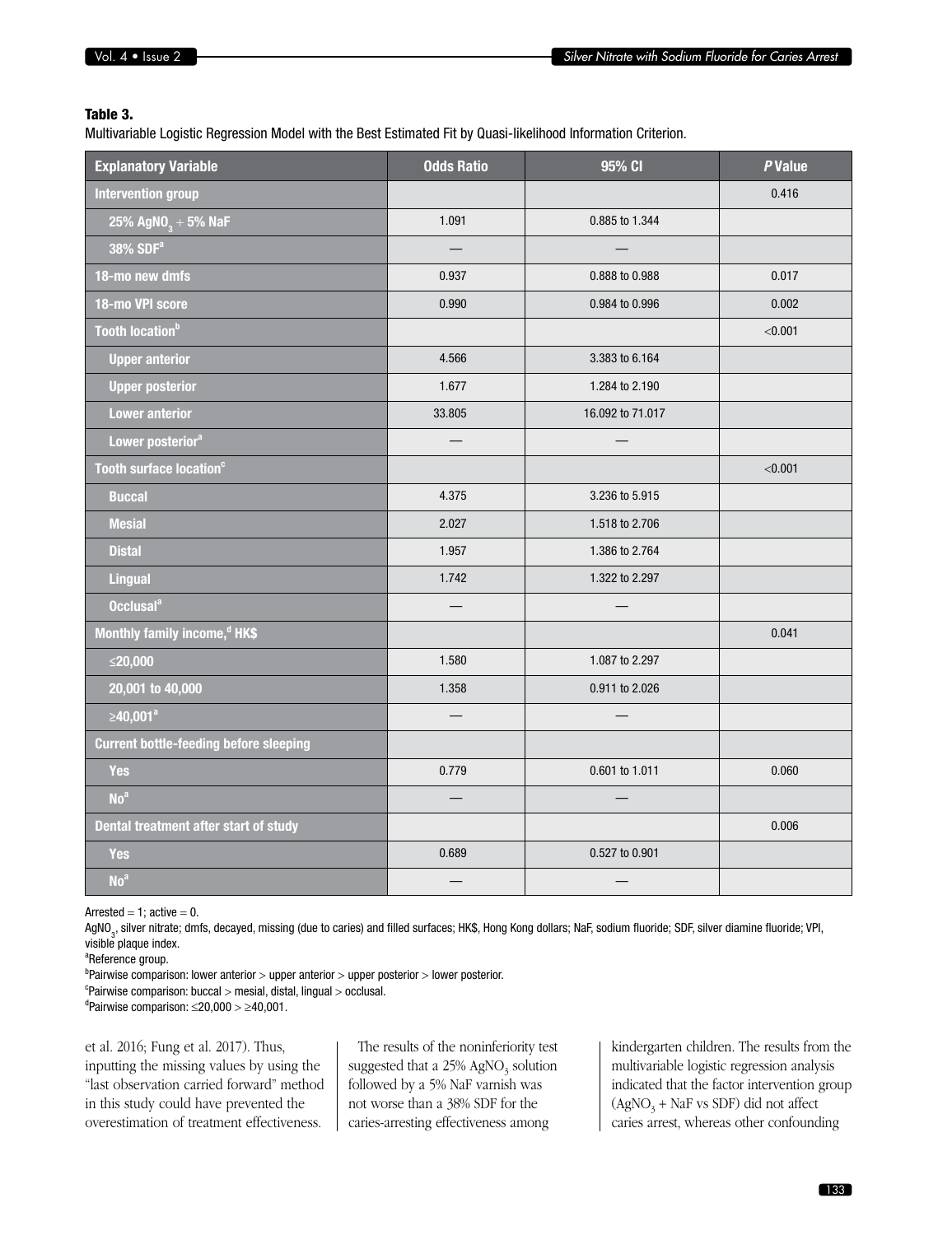#### Table 3.

Multivariable Logistic Regression Model with the Best Estimated Fit by Quasi-likelihood Information Criterion.

| <b>Explanatory Variable</b>                   | <b>Odds Ratio</b> | 95% CI           | P Value |
|-----------------------------------------------|-------------------|------------------|---------|
| <b>Intervention group</b>                     |                   |                  | 0.416   |
| 25% $AgNO_3 + 5%$ NaF                         | 1.091             | 0.885 to 1.344   |         |
| 38% SDF <sup>a</sup>                          |                   |                  |         |
| 18-mo new dmfs                                | 0.937             | 0.888 to 0.988   | 0.017   |
| 18-mo VPI score                               | 0.990             | 0.984 to 0.996   | 0.002   |
| Tooth location <sup>b</sup>                   |                   |                  | < 0.001 |
| <b>Upper anterior</b>                         | 4.566             | 3.383 to 6.164   |         |
| <b>Upper posterior</b>                        | 1.677             | 1.284 to 2.190   |         |
| <b>Lower anterior</b>                         | 33.805            | 16.092 to 71.017 |         |
| Lower posterior <sup>a</sup>                  |                   |                  |         |
| Tooth surface location <sup>c</sup>           |                   |                  | < 0.001 |
| <b>Buccal</b>                                 | 4.375             | 3.236 to 5.915   |         |
| <b>Mesial</b>                                 | 2.027             | 1.518 to 2.706   |         |
| <b>Distal</b>                                 | 1.957             | 1.386 to 2.764   |         |
| <b>Lingual</b>                                | 1.742             | 1.322 to 2.297   |         |
| Occlusal <sup>a</sup>                         |                   |                  |         |
| Monthly family income, <sup>d</sup> HK\$      |                   |                  | 0.041   |
| ≤20,000                                       | 1.580             | 1.087 to 2.297   |         |
| 20,001 to 40,000                              | 1.358             | 0.911 to 2.026   |         |
| ≥40,001 <sup>ª</sup>                          | $\equiv$          |                  |         |
| <b>Current bottle-feeding before sleeping</b> |                   |                  |         |
| <b>Yes</b>                                    | 0.779             | 0.601 to 1.011   | 0.060   |
| No <sup>a</sup>                               |                   |                  |         |
| Dental treatment after start of study         |                   |                  | 0.006   |
| <b>Yes</b>                                    | 0.689             | 0.527 to 0.901   |         |
| No <sup>a</sup>                               |                   |                  |         |

Arrested  $= 1$ ; active  $= 0$ .

AgNO<sub>3</sub>, silver nitrate; dmfs, decayed, missing (due to caries) and filled surfaces; HK\$, Hong Kong dollars; NaF, sodium fluoride; SDF, silver diamine fluoride; VPI, visible plaque index.

<sup>a</sup>Reference group.

<sup>b</sup>Pairwise comparison: lower anterior > upper anterior > upper posterior > lower posterior. c Pairwise comparison: buccal > mesial, distal, lingual > occlusal.

<sup>d</sup>Pairwise comparison: ≤20,000 > ≥40,001.

et al. 2016; Fung et al. 2017). Thus, inputting the missing values by using the "last observation carried forward" method in this study could have prevented the overestimation of treatment effectiveness.

The results of the noninferiority test suggested that a  $25\%$  AgNO<sub>3</sub> solution followed by a 5% NaF varnish was not worse than a 38% SDF for the caries-arresting effectiveness among

kindergarten children. The results from the multivariable logistic regression analysis indicated that the factor intervention group  $(AgNO<sub>3</sub> + NaF vs SDF)$  did not affect caries arrest, whereas other confounding